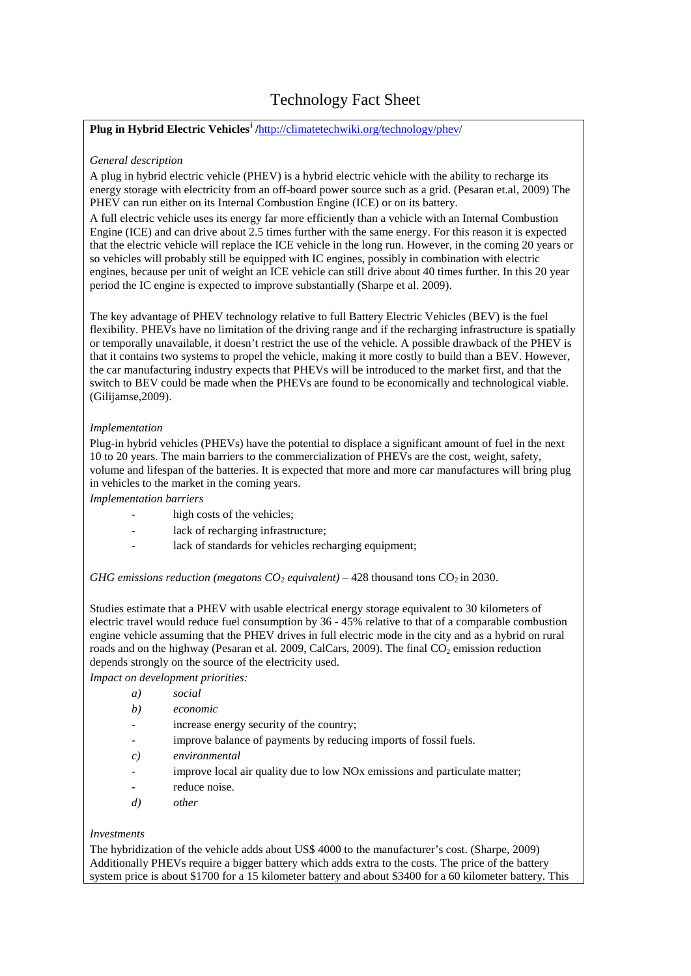# Technology Fact Sheet

### **Plug in Hybrid Electric Vehicles[i](#page-1-0) /**[http://climatetechwiki.org/technology/phev/](http://climatetechwiki.org/technology/phev)

#### *General description*

A plug in hybrid electric vehicle (PHEV) is a hybrid electric vehicle with the ability to recharge its energy storage with electricity from an off-board power source such as a grid. (Pesaran et.al, 2009) The PHEV can run either on its Internal Combustion Engine (ICE) or on its battery.

A full electric vehicle uses its energy far more efficiently than a vehicle with an Internal Combustion Engine (ICE) and can drive about 2.5 times further with the same energy. For this reason it is expected that the electric vehicle will replace the ICE vehicle in the long run. However, in the coming 20 years or so vehicles will probably still be equipped with IC engines, possibly in combination with electric engines, because per unit of weight an ICE vehicle can still drive about 40 times further. In this 20 year period the IC engine is expected to improve substantially (Sharpe et al. 2009).

The key advantage of PHEV technology relative to full Battery Electric Vehicles (BEV) is the fuel flexibility. PHEVs have no limitation of the driving range and if the recharging infrastructure is spatially or temporally unavailable, it doesn't restrict the use of the vehicle. A possible drawback of the PHEV is that it contains two systems to propel the vehicle, making it more costly to build than a BEV. However, the car manufacturing industry expects that PHEVs will be introduced to the market first, and that the switch to BEV could be made when the PHEVs are found to be economically and technological viable. (Gilijamse,2009).

#### *Implementation*

Plug-in hybrid vehicles (PHEVs) have the potential to displace a significant amount of fuel in the next 10 to 20 years. The main barriers to the commercialization of PHEVs are the cost, weight, safety, volume and lifespan of the batteries. It is expected that more and more car manufactures will bring plug in vehicles to the market in the coming years.

*Implementation barriers*

- high costs of the vehicles;
- lack of recharging infrastructure;
- lack of standards for vehicles recharging equipment;

*GHG emissions reduction (megatons*  $CO<sub>2</sub>$  *equivalent)* – 428 thousand tons  $CO<sub>2</sub>$  in 2030.

Studies estimate that a PHEV with usable electrical energy storage equivalent to 30 kilometers of electric travel would reduce fuel consumption by 36 - 45% relative to that of a comparable combustion engine vehicle assuming that the PHEV drives in full electric mode in the city and as a hybrid on rural roads and on the highway (Pesaran et al. 2009, CalCars, 2009). The final  $CO<sub>2</sub>$  emission reduction depends strongly on the source of the electricity used.

*Impact on development priorities:*

| a)            | social                                                                       |
|---------------|------------------------------------------------------------------------------|
| b)            | economic                                                                     |
|               | increase energy security of the country;                                     |
|               | improve balance of payments by reducing imports of fossil fuels.             |
| $\mathcal{C}$ | environmental                                                                |
|               | improve local air quality due to low NO <sub>x</sub> emissions and particula |

- uality due to low NO<sub>x</sub> emissions and particulate matter;
- reduce noise.
- *d) other*

## *Investments*

The hybridization of the vehicle adds about US\$ 4000 to the manufacturer's cost. (Sharpe, 2009) Additionally PHEVs require a bigger battery which adds extra to the costs. The price of the battery system price is about \$1700 for a 15 kilometer battery and about \$3400 for a 60 kilometer battery. This